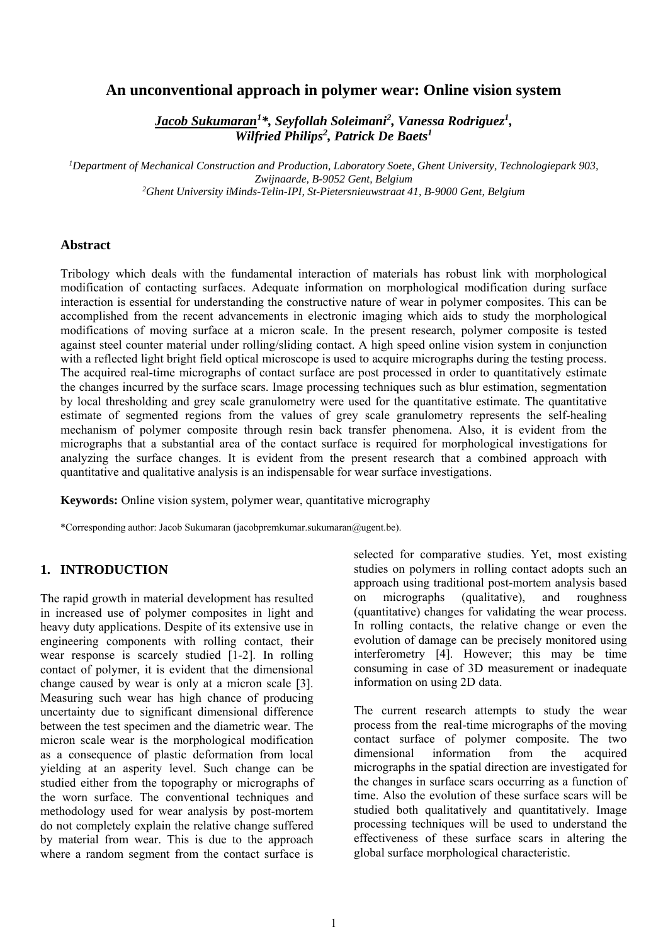## **An unconventional approach in polymer wear: Online vision system**

*Jacob Sukumaran1 \*, Seyfollah Soleimani<sup>2</sup> , Vanessa Rodriguez<sup>1</sup> , Wilfried Philips2 , Patrick De Baets1*

*1 Department of Mechanical Construction and Production, Laboratory Soete, Ghent University, Technologiepark 903, Zwijnaarde, B-9052 Gent, Belgium 2 Ghent University iMinds-Telin-IPI, St-Pietersnieuwstraat 41, B-9000 Gent, Belgium* 

### **Abstract**

Tribology which deals with the fundamental interaction of materials has robust link with morphological modification of contacting surfaces. Adequate information on morphological modification during surface interaction is essential for understanding the constructive nature of wear in polymer composites. This can be accomplished from the recent advancements in electronic imaging which aids to study the morphological modifications of moving surface at a micron scale. In the present research, polymer composite is tested against steel counter material under rolling/sliding contact. A high speed online vision system in conjunction with a reflected light bright field optical microscope is used to acquire micrographs during the testing process. The acquired real-time micrographs of contact surface are post processed in order to quantitatively estimate the changes incurred by the surface scars. Image processing techniques such as blur estimation, segmentation by local thresholding and grey scale granulometry were used for the quantitative estimate. The quantitative estimate of segmented regions from the values of grey scale granulometry represents the self-healing mechanism of polymer composite through resin back transfer phenomena. Also, it is evident from the micrographs that a substantial area of the contact surface is required for morphological investigations for analyzing the surface changes. It is evident from the present research that a combined approach with quantitative and qualitative analysis is an indispensable for wear surface investigations.

**Keywords:** Online vision system, polymer wear, quantitative micrography

\*Corresponding author: Jacob Sukumaran (jacobpremkumar.sukumaran@ugent.be).

# **1. INTRODUCTION**

The rapid growth in material development has resulted in increased use of polymer composites in light and heavy duty applications. Despite of its extensive use in engineering components with rolling contact, their wear response is scarcely studied [1-2]. In rolling contact of polymer, it is evident that the dimensional change caused by wear is only at a micron scale [3]. Measuring such wear has high chance of producing uncertainty due to significant dimensional difference between the test specimen and the diametric wear. The micron scale wear is the morphological modification as a consequence of plastic deformation from local yielding at an asperity level. Such change can be studied either from the topography or micrographs of the worn surface. The conventional techniques and methodology used for wear analysis by post-mortem do not completely explain the relative change suffered by material from wear. This is due to the approach where a random segment from the contact surface is

selected for comparative studies. Yet, most existing studies on polymers in rolling contact adopts such an approach using traditional post-mortem analysis based on micrographs (qualitative), and roughness (quantitative) changes for validating the wear process. In rolling contacts, the relative change or even the evolution of damage can be precisely monitored using interferometry [4]. However; this may be time consuming in case of 3D measurement or inadequate information on using 2D data.

The current research attempts to study the wear process from the real-time micrographs of the moving contact surface of polymer composite. The two dimensional information from the acquired micrographs in the spatial direction are investigated for the changes in surface scars occurring as a function of time. Also the evolution of these surface scars will be studied both qualitatively and quantitatively. Image processing techniques will be used to understand the effectiveness of these surface scars in altering the global surface morphological characteristic.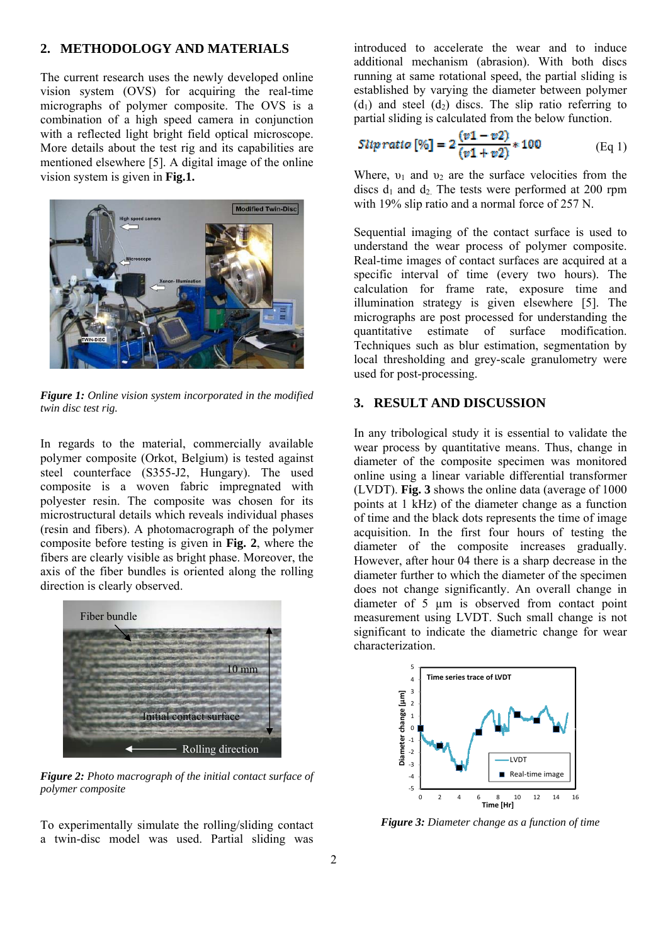#### **2. METHODOLOGY AND MATERIALS**

The current research uses the newly developed online vision system (OVS) for acquiring the real-time micrographs of polymer composite. The OVS is a combination of a high speed camera in conjunction with a reflected light bright field optical microscope. More details about the test rig and its capabilities are mentioned elsewhere [5]. A digital image of the online vision system is given in **Fig.1.**



*Figure 1: Online vision system incorporated in the modified twin disc test rig.* 

In regards to the material, commercially available polymer composite (Orkot, Belgium) is tested against steel counterface (S355-J2, Hungary). The used composite is a woven fabric impregnated with polyester resin. The composite was chosen for its microstructural details which reveals individual phases (resin and fibers). A photomacrograph of the polymer composite before testing is given in **Fig. 2**, where the fibers are clearly visible as bright phase. Moreover, the axis of the fiber bundles is oriented along the rolling direction is clearly observed.



*Figure 2: Photo macrograph of the initial contact surface of polymer composite* 

To experimentally simulate the rolling/sliding contact a twin-disc model was used. Partial sliding was

introduced to accelerate the wear and to induce additional mechanism (abrasion). With both discs running at same rotational speed, the partial sliding is established by varying the diameter between polymer  $(d_1)$  and steel  $(d_2)$  discs. The slip ratio referring to partial sliding is calculated from the below function.

$$
Slip \, ratio \, [\%] = 2 \frac{(v1 - v2)}{(v1 + v2)} * 100 \tag{Eq 1}
$$

Where,  $v_1$  and  $v_2$  are the surface velocities from the discs  $d_1$  and  $d_2$ . The tests were performed at 200 rpm with 19% slip ratio and a normal force of 257 N.

Sequential imaging of the contact surface is used to understand the wear process of polymer composite. Real-time images of contact surfaces are acquired at a specific interval of time (every two hours). The calculation for frame rate, exposure time and illumination strategy is given elsewhere [5]. The micrographs are post processed for understanding the quantitative estimate of surface modification. Techniques such as blur estimation, segmentation by local thresholding and grey-scale granulometry were used for post-processing.

#### **3. RESULT AND DISCUSSION**

In any tribological study it is essential to validate the wear process by quantitative means. Thus, change in diameter of the composite specimen was monitored online using a linear variable differential transformer (LVDT). **Fig. 3** shows the online data (average of 1000 points at 1 kHz) of the diameter change as a function of time and the black dots represents the time of image acquisition. In the first four hours of testing the diameter of the composite increases gradually. However, after hour 04 there is a sharp decrease in the diameter further to which the diameter of the specimen does not change significantly. An overall change in diameter of 5 µm is observed from contact point measurement using LVDT. Such small change is not significant to indicate the diametric change for wear characterization.



*Figure 3: Diameter change as a function of time*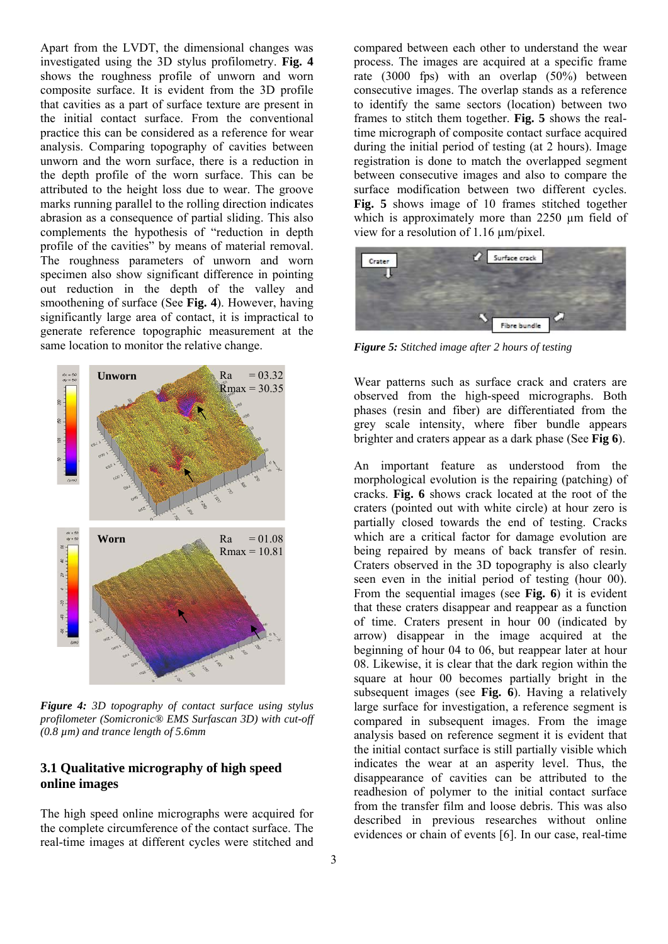Apart from the LVDT, the dimensional changes was investigated using the 3D stylus profilometry. **Fig. 4** shows the roughness profile of unworn and worn composite surface. It is evident from the 3D profile that cavities as a part of surface texture are present in the initial contact surface. From the conventional practice this can be considered as a reference for wear analysis. Comparing topography of cavities between unworn and the worn surface, there is a reduction in the depth profile of the worn surface. This can be attributed to the height loss due to wear. The groove marks running parallel to the rolling direction indicates abrasion as a consequence of partial sliding. This also complements the hypothesis of "reduction in depth profile of the cavities" by means of material removal. The roughness parameters of unworn and worn specimen also show significant difference in pointing out reduction in the depth of the valley and smoothening of surface (See **Fig. 4**). However, having significantly large area of contact, it is impractical to generate reference topographic measurement at the same location to monitor the relative change.



*Figure 4: 3D topography of contact surface using stylus profilometer (Somicronic® EMS Surfascan 3D) with cut-off (0.8 µm) and trance length of 5.6mm*

## **3.1 Qualitative micrography of high speed online images**

The high speed online micrographs were acquired for the complete circumference of the contact surface. The real-time images at different cycles were stitched and

compared between each other to understand the wear process. The images are acquired at a specific frame rate (3000 fps) with an overlap (50%) between consecutive images. The overlap stands as a reference to identify the same sectors (location) between two frames to stitch them together. **Fig. 5** shows the realtime micrograph of composite contact surface acquired during the initial period of testing (at 2 hours). Image registration is done to match the overlapped segment between consecutive images and also to compare the surface modification between two different cycles. **Fig. 5** shows image of 10 frames stitched together which is approximately more than 2250  $\mu$ m field of view for a resolution of 1.16 µm/pixel.



*Figure 5: Stitched image after 2 hours of testing* 

Wear patterns such as surface crack and craters are observed from the high-speed micrographs. Both phases (resin and fiber) are differentiated from the grey scale intensity, where fiber bundle appears brighter and craters appear as a dark phase (See **Fig 6**).

An important feature as understood from the morphological evolution is the repairing (patching) of cracks. **Fig. 6** shows crack located at the root of the craters (pointed out with white circle) at hour zero is partially closed towards the end of testing. Cracks which are a critical factor for damage evolution are being repaired by means of back transfer of resin. Craters observed in the 3D topography is also clearly seen even in the initial period of testing (hour 00). From the sequential images (see **Fig. 6**) it is evident that these craters disappear and reappear as a function of time. Craters present in hour 00 (indicated by arrow) disappear in the image acquired at the beginning of hour 04 to 06, but reappear later at hour 08. Likewise, it is clear that the dark region within the square at hour 00 becomes partially bright in the subsequent images (see **Fig. 6**). Having a relatively large surface for investigation, a reference segment is compared in subsequent images. From the image analysis based on reference segment it is evident that the initial contact surface is still partially visible which indicates the wear at an asperity level. Thus, the disappearance of cavities can be attributed to the readhesion of polymer to the initial contact surface from the transfer film and loose debris. This was also described in previous researches without online evidences or chain of events [6]. In our case, real-time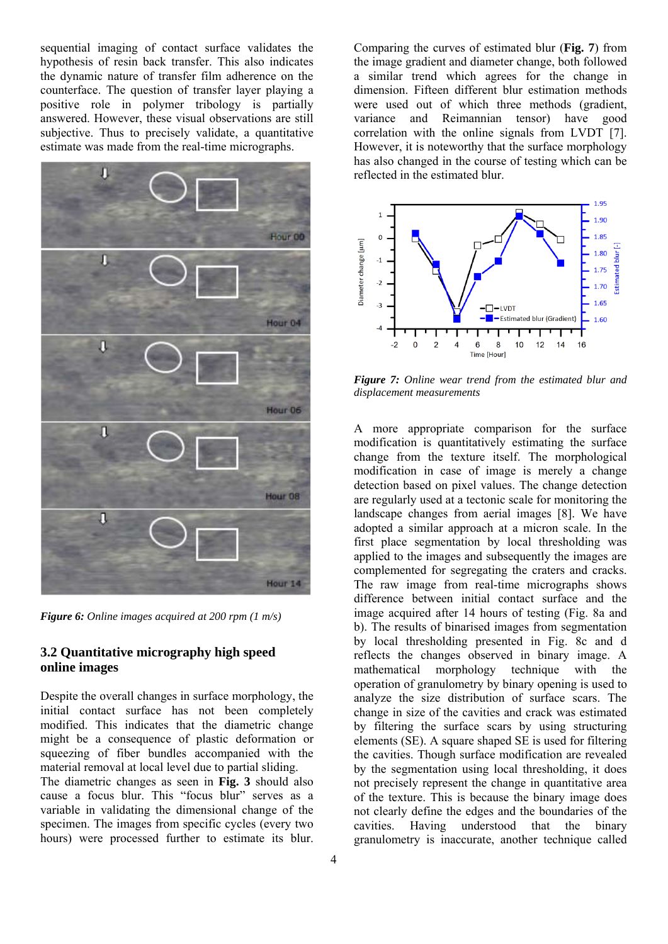sequential imaging of contact surface validates the hypothesis of resin back transfer. This also indicates the dynamic nature of transfer film adherence on the counterface. The question of transfer layer playing a positive role in polymer tribology is partially answered. However, these visual observations are still subjective. Thus to precisely validate, a quantitative estimate was made from the real-time micrographs.



*Figure 6: Online images acquired at 200 rpm (1 m/s)* 

## **3.2 Quantitative micrography high speed online images**

Despite the overall changes in surface morphology, the initial contact surface has not been completely modified. This indicates that the diametric change might be a consequence of plastic deformation or squeezing of fiber bundles accompanied with the material removal at local level due to partial sliding. The diametric changes as seen in **Fig. 3** should also

cause a focus blur. This "focus blur" serves as a variable in validating the dimensional change of the specimen. The images from specific cycles (every two hours) were processed further to estimate its blur.

Comparing the curves of estimated blur (**Fig. 7**) from the image gradient and diameter change, both followed a similar trend which agrees for the change in dimension. Fifteen different blur estimation methods were used out of which three methods (gradient, variance and Reimannian tensor) have good correlation with the online signals from LVDT [7]. However, it is noteworthy that the surface morphology has also changed in the course of testing which can be reflected in the estimated blur.



*Figure 7: Online wear trend from the estimated blur and displacement measurements* 

A more appropriate comparison for the surface modification is quantitatively estimating the surface change from the texture itself. The morphological modification in case of image is merely a change detection based on pixel values. The change detection are regularly used at a tectonic scale for monitoring the landscape changes from aerial images [8]. We have adopted a similar approach at a micron scale. In the first place segmentation by local thresholding was applied to the images and subsequently the images are complemented for segregating the craters and cracks. The raw image from real-time micrographs shows difference between initial contact surface and the image acquired after 14 hours of testing (Fig. 8a and b). The results of binarised images from segmentation by local thresholding presented in Fig. 8c and d reflects the changes observed in binary image. A mathematical morphology technique with the operation of granulometry by binary opening is used to analyze the size distribution of surface scars. The change in size of the cavities and crack was estimated by filtering the surface scars by using structuring elements (SE). A square shaped SE is used for filtering the cavities. Though surface modification are revealed by the segmentation using local thresholding, it does not precisely represent the change in quantitative area of the texture. This is because the binary image does not clearly define the edges and the boundaries of the cavities. Having understood that the binary granulometry is inaccurate, another technique called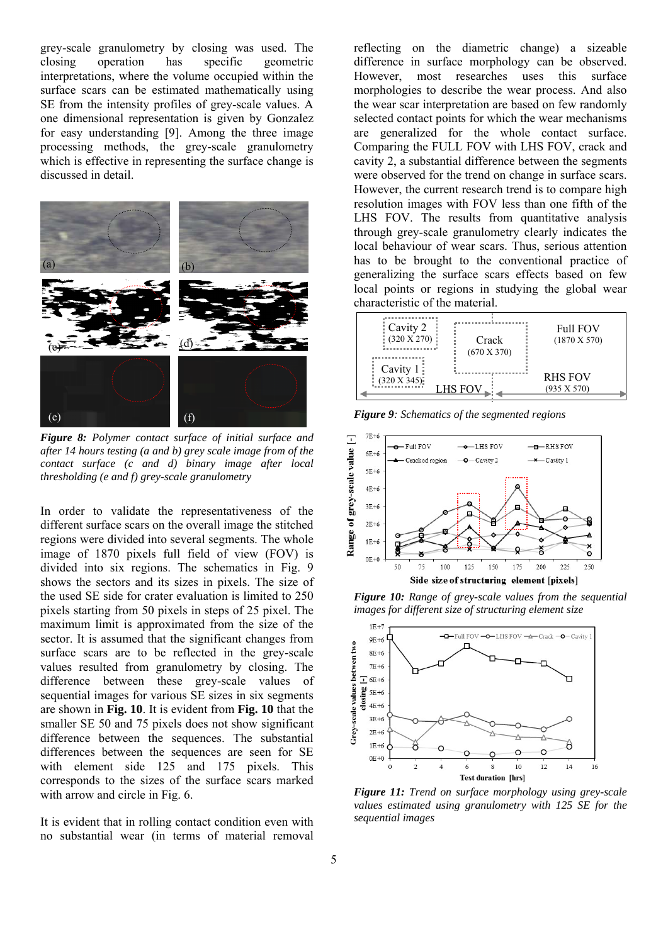grey-scale granulometry by closing was used. The closing operation has specific geometric interpretations, where the volume occupied within the surface scars can be estimated mathematically using SE from the intensity profiles of grey-scale values. A one dimensional representation is given by Gonzalez for easy understanding [9]. Among the three image processing methods, the grey-scale granulometry which is effective in representing the surface change is discussed in detail.



*Figure 8: Polymer contact surface of initial surface and after 14 hours testing (a and b) grey scale image from of the contact surface (c and d) binary image after local thresholding (e and f) grey-scale granulometry* 

In order to validate the representativeness of the different surface scars on the overall image the stitched regions were divided into several segments. The whole image of 1870 pixels full field of view (FOV) is divided into six regions. The schematics in Fig. 9 shows the sectors and its sizes in pixels. The size of the used SE side for crater evaluation is limited to 250 pixels starting from 50 pixels in steps of 25 pixel. The maximum limit is approximated from the size of the sector. It is assumed that the significant changes from surface scars are to be reflected in the grey-scale values resulted from granulometry by closing. The difference between these grey-scale values of sequential images for various SE sizes in six segments are shown in **Fig. 10**. It is evident from **Fig. 10** that the smaller SE 50 and 75 pixels does not show significant difference between the sequences. The substantial differences between the sequences are seen for SE with element side 125 and 175 pixels. This corresponds to the sizes of the surface scars marked with arrow and circle in Fig. 6.

It is evident that in rolling contact condition even with no substantial wear (in terms of material removal reflecting on the diametric change) a sizeable difference in surface morphology can be observed. However, most researches uses this surface morphologies to describe the wear process. And also the wear scar interpretation are based on few randomly selected contact points for which the wear mechanisms are generalized for the whole contact surface. Comparing the FULL FOV with LHS FOV, crack and cavity 2, a substantial difference between the segments were observed for the trend on change in surface scars. However, the current research trend is to compare high resolution images with FOV less than one fifth of the LHS FOV. The results from quantitative analysis through grey-scale granulometry clearly indicates the local behaviour of wear scars. Thus, serious attention has to be brought to the conventional practice of generalizing the surface scars effects based on few local points or regions in studying the global wear characteristic of the material.



*Figure 9: Schematics of the segmented regions* 



*Figure 10: Range of grey-scale values from the sequential images for different size of structuring element size* 



*Figure 11: Trend on surface morphology using grey-scale values estimated using granulometry with 125 SE for the sequential images*